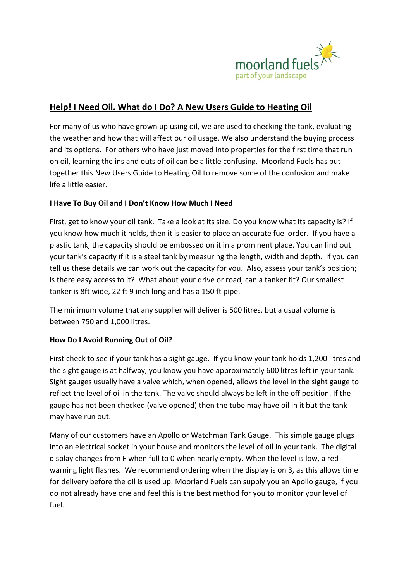

# **Help! I Need Oil. What do I Do? A New Users Guide to Heating Oil**

For many of us who have grown up using oil, we are used to checking the tank, evaluating the weather and how that will affect our oil usage. We also understand the buying process and its options. For others who have just moved into properties for the first time that run on oil, learning the ins and outs of oil can be a little confusing. Moorland Fuels has put together this New Users Guide to Heating Oil to remove some of the confusion and make life a little easier.

# **I Have To Buy Oil and I Don't Know How Much I Need**

First, get to know your oil tank. Take a look at its size. Do you know what its capacity is? If you know how much it holds, then it is easier to place an accurate fuel order. If you have a plastic tank, the capacity should be embossed on it in a prominent place. You can find out your tank's capacity if it is a steel tank by measuring the length, width and depth. If you can tell us these details we can work out the capacity for you. Also, assess your tank's position; is there easy access to it? What about your drive or road, can a tanker fit? Our smallest tanker is 8ft wide, 22 ft 9 inch long and has a 150 ft pipe.

The minimum volume that any supplier will deliver is 500 litres, but a usual volume is between 750 and 1,000 litres.

# **How Do I Avoid Running Out of Oil?**

First check to see if your tank has a sight gauge. If you know your tank holds 1,200 litres and the sight gauge is at halfway, you know you have approximately 600 litres left in your tank. Sight gauges usually have a valve which, when opened, allows the level in the sight gauge to reflect the level of oil in the tank. The valve should always be left in the off position. If the gauge has not been checked (valve opened) then the tube may have oil in it but the tank may have run out.

Many of our customers have an Apollo or Watchman Tank Gauge. This simple gauge plugs into an electrical socket in your house and monitors the level of oil in your tank. The digital display changes from F when full to 0 when nearly empty. When the level is low, a red warning light flashes. We recommend ordering when the display is on 3, as this allows time for delivery before the oil is used up. Moorland Fuels can supply you an Apollo gauge, if you do not already have one and feel this is the best method for you to monitor your level of fuel.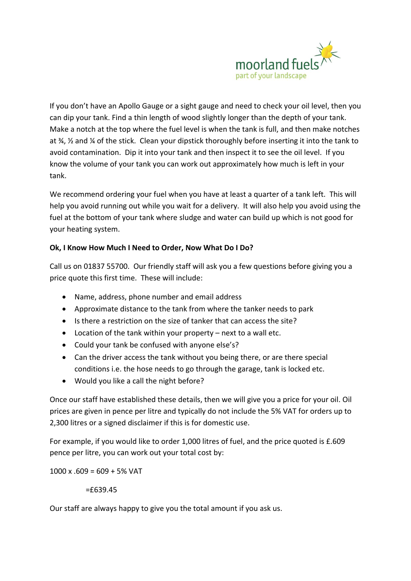

If you don't have an Apollo Gauge or a sight gauge and need to check your oil level, then you can dip your tank. Find a thin length of wood slightly longer than the depth of your tank. Make a notch at the top where the fuel level is when the tank is full, and then make notches at ¾, ½ and ¼ of the stick. Clean your dipstick thoroughly before inserting it into the tank to avoid contamination. Dip it into your tank and then inspect it to see the oil level. If you know the volume of your tank you can work out approximately how much is left in your tank.

We recommend ordering your fuel when you have at least a quarter of a tank left. This will help you avoid running out while you wait for a delivery. It will also help you avoid using the fuel at the bottom of your tank where sludge and water can build up which is not good for your heating system.

# **Ok, I Know How Much I Need to Order, Now What Do I Do?**

Call us on 01837 55700. Our friendly staff will ask you a few questions before giving you a price quote this first time. These will include:

- Name, address, phone number and email address
- Approximate distance to the tank from where the tanker needs to park
- Is there a restriction on the size of tanker that can access the site?
- Location of the tank within your property next to a wall etc.
- Could your tank be confused with anyone else's?
- Can the driver access the tank without you being there, or are there special conditions i.e. the hose needs to go through the garage, tank is locked etc.
- Would you like a call the night before?

Once our staff have established these details, then we will give you a price for your oil. Oil prices are given in pence per litre and typically do not include the 5% VAT for orders up to 2,300 litres or a signed disclaimer if this is for domestic use.

For example, if you would like to order 1,000 litres of fuel, and the price quoted is £.609 pence per litre, you can work out your total cost by:

 $1000 \times 0.609 = 609 + 5\% \text{ VAT}$ 

# =£639.45

Our staff are always happy to give you the total amount if you ask us.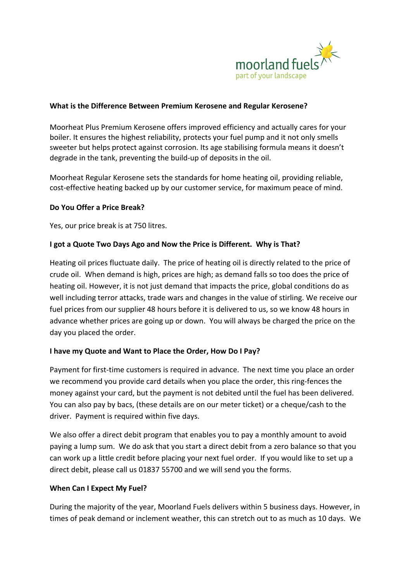

# **What is the Difference Between Premium Kerosene and Regular Kerosene?**

Moorheat Plus Premium Kerosene offers improved efficiency and actually cares for your boiler. It ensures the highest reliability, protects your fuel pump and it not only smells sweeter but helps protect against corrosion. Its age stabilising formula means it doesn't degrade in the tank, preventing the build-up of deposits in the oil.

Moorheat Regular Kerosene sets the standards for home heating oil, providing reliable, cost-effective heating backed up by our customer service, for maximum peace of mind.

# **Do You Offer a Price Break?**

Yes, our price break is at 750 litres.

# **I got a Quote Two Days Ago and Now the Price is Different. Why is That?**

Heating oil prices fluctuate daily. The price of heating oil is directly related to the price of crude oil. When demand is high, prices are high; as demand falls so too does the price of heating oil. However, it is not just demand that impacts the price, global conditions do as well including terror attacks, trade wars and changes in the value of stirling. We receive our fuel prices from our supplier 48 hours before it is delivered to us, so we know 48 hours in advance whether prices are going up or down. You will always be charged the price on the day you placed the order.

# **I have my Quote and Want to Place the Order, How Do I Pay?**

Payment for first-time customers is required in advance. The next time you place an order we recommend you provide card details when you place the order, this ring-fences the money against your card, but the payment is not debited until the fuel has been delivered. You can also pay by bacs, (these details are on our meter ticket) or a cheque/cash to the driver. Payment is required within five days.

We also offer a direct debit program that enables you to pay a monthly amount to avoid paying a lump sum. We do ask that you start a direct debit from a zero balance so that you can work up a little credit before placing your next fuel order. If you would like to set up a direct debit, please call us 01837 55700 and we will send you the forms.

#### **When Can I Expect My Fuel?**

During the majority of the year, Moorland Fuels delivers within 5 business days. However, in times of peak demand or inclement weather, this can stretch out to as much as 10 days. We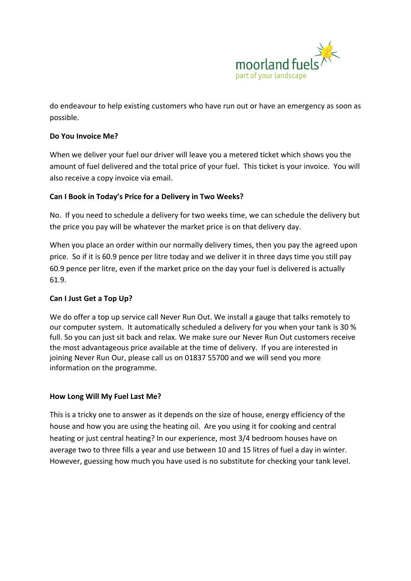

do endeavour to help existing customers who have run out or have an emergency as soon as possible.

# **Do You Invoice Me?**

When we deliver your fuel our driver will leave you a metered ticket which shows you the amount of fuel delivered and the total price of your fuel. This ticket is your invoice. You will also receive a copy invoice via email.

# **Can I Book in Today's Price for a Delivery in Two Weeks?**

No. If you need to schedule a delivery for two weeks time, we can schedule the delivery but the price you pay will be whatever the market price is on that delivery day.

When you place an order within our normally delivery times, then you pay the agreed upon price. So if it is 60.9 pence per litre today and we deliver it in three days time you still pay 60.9 pence per litre, even if the market price on the day your fuel is delivered is actually 61.9.

# **Can I Just Get a Top Up?**

We do offer a top up service call Never Run Out. We install a gauge that talks remotely to our computer system. It automatically scheduled a delivery for you when your tank is 30 % full. So you can just sit back and relax. We make sure our Never Run Out customers receive the most advantageous price available at the time of delivery. If you are interested in joining Never Run Our, please call us on 01837 55700 and we will send you more information on the programme.

#### **How Long Will My Fuel Last Me?**

This is a tricky one to answer as it depends on the size of house, energy efficiency of the house and how you are using the heating oil. Are you using it for cooking and central heating or just central heating? In our experience, most 3/4 bedroom houses have on average two to three fills a year and use between 10 and 15 litres of fuel a day in winter. However, guessing how much you have used is no substitute for checking your tank level.